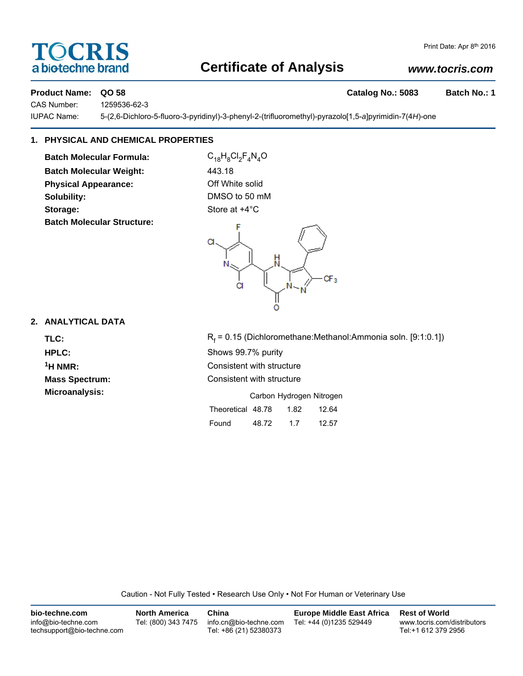# TOCRIS a biotechne brand

### Print Date: Apr 8th 2016

## **Certificate of Analysis**

## *www.tocris.com*

## **Product Name: QO 58 Catalog No.: 5083 Batch No.: 1**

CAS Number: 1259536-62-3

IUPAC Name: 5-(2,6-Dichloro-5-fluoro-3-pyridinyl)-3-phenyl-2-(trifluoromethyl)-pyrazolo[1,5-*a*]pyrimidin-7(4*H*)-one

## **1. PHYSICAL AND CHEMICAL PROPERTIES**

**Batch Molecular Formula:** C<sub>18</sub>H<sub>8</sub>Cl<sub>2</sub>F<sub>4</sub>N<sub>4</sub>O **Batch Molecular Weight:** 443.18 **Physical Appearance:** Off White solid **Solubility:** DMSO to 50 mM **Storage:** Store at  $+4^{\circ}$ C **Batch Molecular Structure:**



## **2. ANALYTICAL DATA**

TLC: R<sub>f</sub>

 $R_f$  = 0.15 (Dichloromethane:Methanol:Ammonia soln. [9:1:0.1]) **HPLC:** Shows 99.7% purity **1H NMR:** Consistent with structure **Mass Spectrum:** Consistent with structure **Microanalysis:** Microanalysis: **Carbon Hydrogen Nitrogen** 

| Theoretical 48.78 |       | 1.82 | 12.64 |
|-------------------|-------|------|-------|
| Found             | 48.72 | 17   | 12.57 |

Caution - Not Fully Tested • Research Use Only • Not For Human or Veterinary Use

| bio-techne.com                                    | <b>North America</b> | China                                            | <b>Europe Middle East Africa</b> | <b>Rest of World</b>                               |
|---------------------------------------------------|----------------------|--------------------------------------------------|----------------------------------|----------------------------------------------------|
| info@bio-techne.com<br>techsupport@bio-techne.com | Tel: (800) 343 7475  | info.cn@bio-techne.com<br>Tel: +86 (21) 52380373 | Tel: +44 (0)1235 529449          | www.tocris.com/distributors<br>Tel:+1 612 379 2956 |